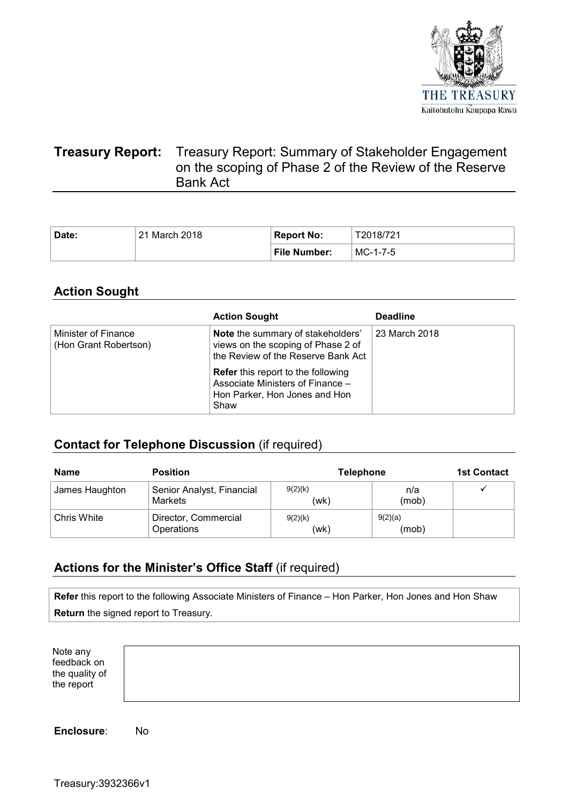

# **Treasury Report:** Treasury Report: Summary of Stakeholder Engagement on the scoping of Phase 2 of the Review of the Reserve Bank Act

| Date: | 21 March 2018 | Report No:          | T2018/721 |
|-------|---------------|---------------------|-----------|
|       |               | <b>File Number:</b> | MC-1-7-5  |

## **Action Sought**

|                                              | <b>Action Sought</b>                                                                                                   | <b>Deadline</b> |
|----------------------------------------------|------------------------------------------------------------------------------------------------------------------------|-----------------|
| Minister of Finance<br>(Hon Grant Robertson) | Note the summary of stakeholders'<br>views on the scoping of Phase 2 of<br>the Review of the Reserve Bank Act          | 23 March 2018   |
|                                              | <b>Refer</b> this report to the following<br>Associate Ministers of Finance -<br>Hon Parker, Hon Jones and Hon<br>Shaw |                 |

# **Contact for Telephone Discussion** (if required)

| <b>Name</b>    | <b>Position</b>                             | <b>Telephone</b> |                  | <b>1st Contact</b> |
|----------------|---------------------------------------------|------------------|------------------|--------------------|
| James Haughton | Senior Analyst, Financial<br><b>Markets</b> | 9(2)(k)<br>(wk)  | n/a<br>(mob)     |                    |
| Chris White    | Director, Commercial<br>Operations          | 9(2)(k)<br>(wk)  | 9(2)(a)<br>(mob) |                    |

## **Actions for the Minister's Office Staff** (if required)

**Refer** this report to the following Associate Ministers of Finance – Hon Parker, Hon Jones and Hon Shaw **Return** the signed report to Treasury.

Note any feedback on the quality of the report

**Enclosure**: No

Treasury:3932366v1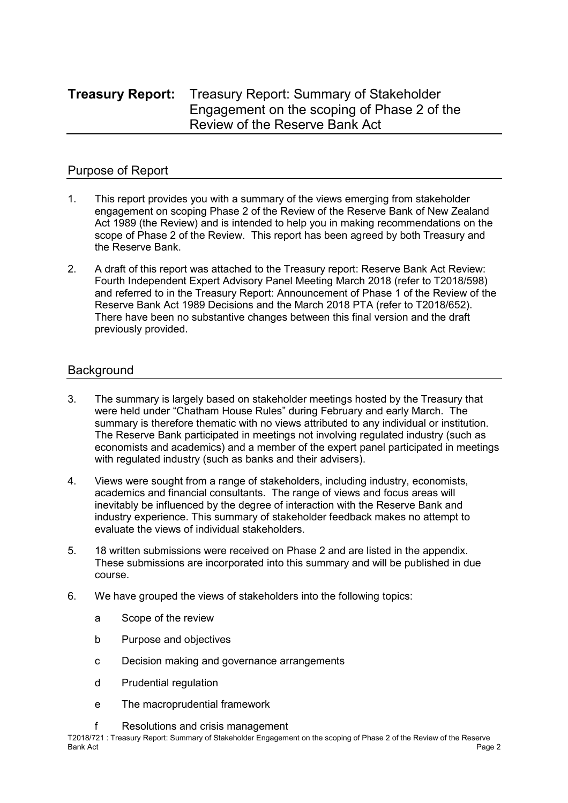# **Treasury Report:** Treasury Report: Summary of Stakeholder Engagement on the scoping of Phase 2 of the Review of the Reserve Bank Act

## Purpose of Report

- 1. This report provides you with a summary of the views emerging from stakeholder engagement on scoping Phase 2 of the Review of the Reserve Bank of New Zealand Act 1989 (the Review) and is intended to help you in making recommendations on the scope of Phase 2 of the Review. This report has been agreed by both Treasury and the Reserve Bank.
- 2. A draft of this report was attached to the Treasury report: Reserve Bank Act Review: Fourth Independent Expert Advisory Panel Meeting March 2018 (refer to T2018/598) and referred to in the Treasury Report: Announcement of Phase 1 of the Review of the Reserve Bank Act 1989 Decisions and the March 2018 PTA (refer to T2018/652). There have been no substantive changes between this final version and the draft previously provided.

## **Background**

- 3. The summary is largely based on stakeholder meetings hosted by the Treasury that were held under "Chatham House Rules" during February and early March. The summary is therefore thematic with no views attributed to any individual or institution. The Reserve Bank participated in meetings not involving regulated industry (such as economists and academics) and a member of the expert panel participated in meetings with regulated industry (such as banks and their advisers).
- 4. Views were sought from a range of stakeholders, including industry, economists, academics and financial consultants. The range of views and focus areas will inevitably be influenced by the degree of interaction with the Reserve Bank and industry experience. This summary of stakeholder feedback makes no attempt to evaluate the views of individual stakeholders.
- 5. 18 written submissions were received on Phase 2 and are listed in the appendix. These submissions are incorporated into this summary and will be published in due course.
- 6. We have grouped the views of stakeholders into the following topics:
	- a Scope of the review
	- b Purpose and objectives
	- c Decision making and governance arrangements
	- d Prudential regulation
	- e The macroprudential framework
	- f Resolutions and crisis management

T2018/721 : Treasury Report: Summary of Stakeholder Engagement on the scoping of Phase 2 of the Review of the Reserve Bank Act Page 2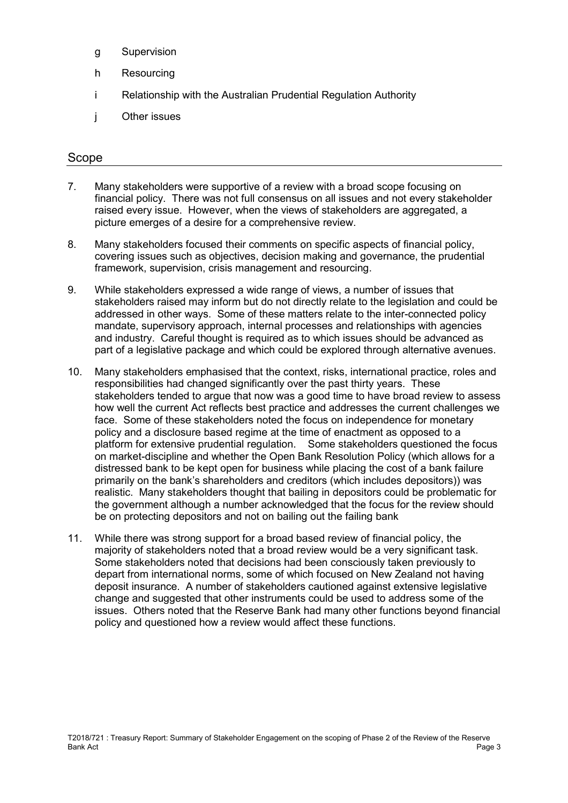- g Supervision
- h Resourcing
- i Relationship with the Australian Prudential Regulation Authority
- j Other issues

### Scope

- 7. Many stakeholders were supportive of a review with a broad scope focusing on financial policy. There was not full consensus on all issues and not every stakeholder raised every issue. However, when the views of stakeholders are aggregated, a picture emerges of a desire for a comprehensive review.
- 8. Many stakeholders focused their comments on specific aspects of financial policy, covering issues such as objectives, decision making and governance, the prudential framework, supervision, crisis management and resourcing.
- 9. While stakeholders expressed a wide range of views, a number of issues that stakeholders raised may inform but do not directly relate to the legislation and could be addressed in other ways. Some of these matters relate to the inter-connected policy mandate, supervisory approach, internal processes and relationships with agencies and industry. Careful thought is required as to which issues should be advanced as part of a legislative package and which could be explored through alternative avenues.
- 10. Many stakeholders emphasised that the context, risks, international practice, roles and responsibilities had changed significantly over the past thirty years. These stakeholders tended to argue that now was a good time to have broad review to assess how well the current Act reflects best practice and addresses the current challenges we face. Some of these stakeholders noted the focus on independence for monetary policy and a disclosure based regime at the time of enactment as opposed to a platform for extensive prudential regulation. Some stakeholders questioned the focus on market-discipline and whether the Open Bank Resolution Policy (which allows for a distressed bank to be kept open for business while placing the cost of a bank failure primarily on the bank's shareholders and creditors (which includes depositors)) was realistic. Many stakeholders thought that bailing in depositors could be problematic for the government although a number acknowledged that the focus for the review should be on protecting depositors and not on bailing out the failing bank
- 11. While there was strong support for a broad based review of financial policy, the majority of stakeholders noted that a broad review would be a very significant task. Some stakeholders noted that decisions had been consciously taken previously to depart from international norms, some of which focused on New Zealand not having deposit insurance. A number of stakeholders cautioned against extensive legislative change and suggested that other instruments could be used to address some of the issues. Others noted that the Reserve Bank had many other functions beyond financial policy and questioned how a review would affect these functions.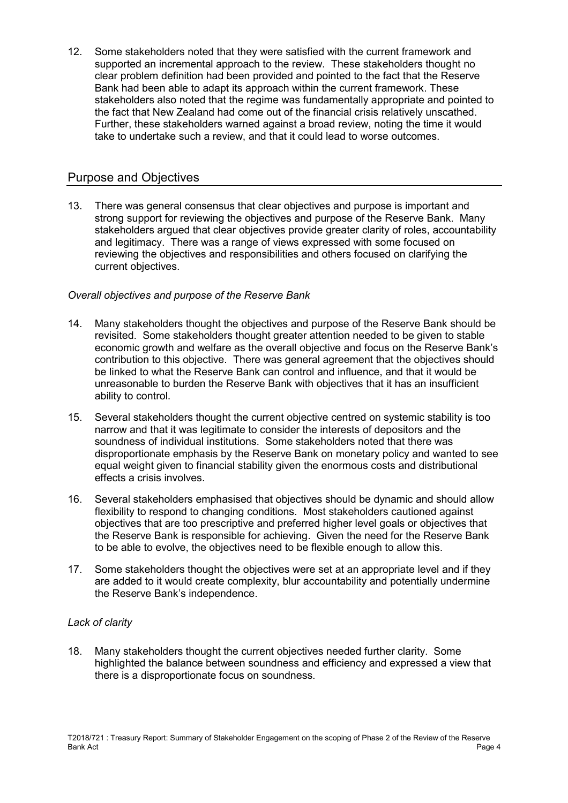12. Some stakeholders noted that they were satisfied with the current framework and supported an incremental approach to the review. These stakeholders thought no clear problem definition had been provided and pointed to the fact that the Reserve Bank had been able to adapt its approach within the current framework. These stakeholders also noted that the regime was fundamentally appropriate and pointed to the fact that New Zealand had come out of the financial crisis relatively unscathed. Further, these stakeholders warned against a broad review, noting the time it would take to undertake such a review, and that it could lead to worse outcomes.

## Purpose and Objectives

13. There was general consensus that clear objectives and purpose is important and strong support for reviewing the objectives and purpose of the Reserve Bank. Many stakeholders argued that clear objectives provide greater clarity of roles, accountability and legitimacy. There was a range of views expressed with some focused on reviewing the objectives and responsibilities and others focused on clarifying the current objectives.

## *Overall objectives and purpose of the Reserve Bank*

- 14. Many stakeholders thought the objectives and purpose of the Reserve Bank should be revisited. Some stakeholders thought greater attention needed to be given to stable economic growth and welfare as the overall objective and focus on the Reserve Bank's contribution to this objective. There was general agreement that the objectives should be linked to what the Reserve Bank can control and influence, and that it would be unreasonable to burden the Reserve Bank with objectives that it has an insufficient ability to control.
- 15. Several stakeholders thought the current objective centred on systemic stability is too narrow and that it was legitimate to consider the interests of depositors and the soundness of individual institutions. Some stakeholders noted that there was disproportionate emphasis by the Reserve Bank on monetary policy and wanted to see equal weight given to financial stability given the enormous costs and distributional effects a crisis involves.
- 16. Several stakeholders emphasised that objectives should be dynamic and should allow flexibility to respond to changing conditions. Most stakeholders cautioned against objectives that are too prescriptive and preferred higher level goals or objectives that the Reserve Bank is responsible for achieving. Given the need for the Reserve Bank to be able to evolve, the objectives need to be flexible enough to allow this.
- 17. Some stakeholders thought the objectives were set at an appropriate level and if they are added to it would create complexity, blur accountability and potentially undermine the Reserve Bank's independence.

## *Lack of clarity*

18. Many stakeholders thought the current objectives needed further clarity. Some highlighted the balance between soundness and efficiency and expressed a view that there is a disproportionate focus on soundness.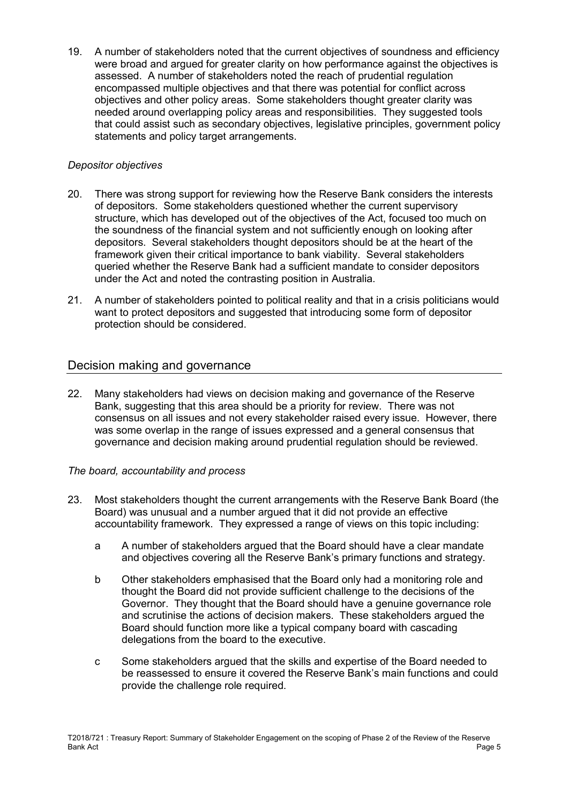19. A number of stakeholders noted that the current objectives of soundness and efficiency were broad and argued for greater clarity on how performance against the objectives is assessed. A number of stakeholders noted the reach of prudential regulation encompassed multiple objectives and that there was potential for conflict across objectives and other policy areas. Some stakeholders thought greater clarity was needed around overlapping policy areas and responsibilities. They suggested tools that could assist such as secondary objectives, legislative principles, government policy statements and policy target arrangements.

#### *Depositor objectives*

- 20. There was strong support for reviewing how the Reserve Bank considers the interests of depositors. Some stakeholders questioned whether the current supervisory structure, which has developed out of the objectives of the Act, focused too much on the soundness of the financial system and not sufficiently enough on looking after depositors. Several stakeholders thought depositors should be at the heart of the framework given their critical importance to bank viability. Several stakeholders queried whether the Reserve Bank had a sufficient mandate to consider depositors under the Act and noted the contrasting position in Australia.
- 21. A number of stakeholders pointed to political reality and that in a crisis politicians would want to protect depositors and suggested that introducing some form of depositor protection should be considered.

## Decision making and governance

22. Many stakeholders had views on decision making and governance of the Reserve Bank, suggesting that this area should be a priority for review. There was not consensus on all issues and not every stakeholder raised every issue. However, there was some overlap in the range of issues expressed and a general consensus that governance and decision making around prudential regulation should be reviewed.

#### *The board, accountability and process*

- 23. Most stakeholders thought the current arrangements with the Reserve Bank Board (the Board) was unusual and a number argued that it did not provide an effective accountability framework. They expressed a range of views on this topic including:
	- a A number of stakeholders argued that the Board should have a clear mandate and objectives covering all the Reserve Bank's primary functions and strategy.
	- b Other stakeholders emphasised that the Board only had a monitoring role and thought the Board did not provide sufficient challenge to the decisions of the Governor. They thought that the Board should have a genuine governance role and scrutinise the actions of decision makers. These stakeholders argued the Board should function more like a typical company board with cascading delegations from the board to the executive.
	- c Some stakeholders argued that the skills and expertise of the Board needed to be reassessed to ensure it covered the Reserve Bank's main functions and could provide the challenge role required.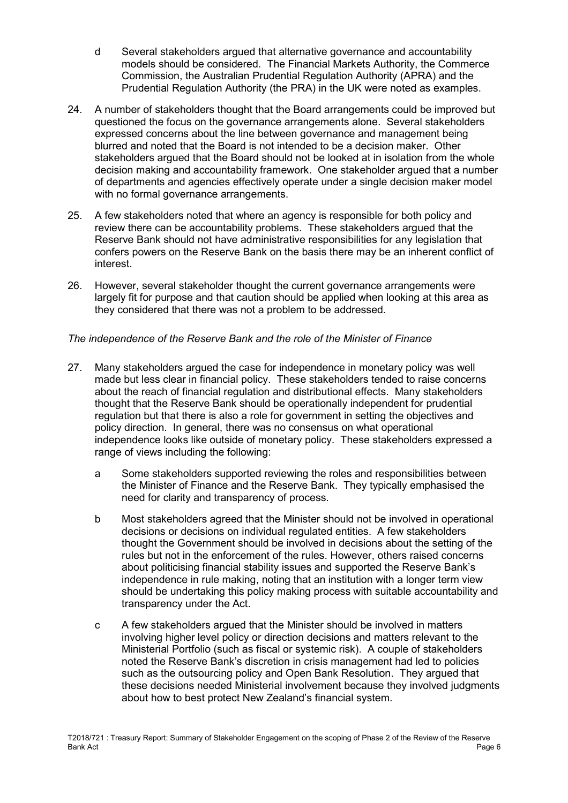- d Several stakeholders argued that alternative governance and accountability models should be considered. The Financial Markets Authority, the Commerce Commission, the Australian Prudential Regulation Authority (APRA) and the Prudential Regulation Authority (the PRA) in the UK were noted as examples.
- 24. A number of stakeholders thought that the Board arrangements could be improved but questioned the focus on the governance arrangements alone. Several stakeholders expressed concerns about the line between governance and management being blurred and noted that the Board is not intended to be a decision maker. Other stakeholders argued that the Board should not be looked at in isolation from the whole decision making and accountability framework. One stakeholder argued that a number of departments and agencies effectively operate under a single decision maker model with no formal governance arrangements.
- 25. A few stakeholders noted that where an agency is responsible for both policy and review there can be accountability problems. These stakeholders argued that the Reserve Bank should not have administrative responsibilities for any legislation that confers powers on the Reserve Bank on the basis there may be an inherent conflict of interest.
- 26. However, several stakeholder thought the current governance arrangements were largely fit for purpose and that caution should be applied when looking at this area as they considered that there was not a problem to be addressed.

#### *The independence of the Reserve Bank and the role of the Minister of Finance*

- 27. Many stakeholders argued the case for independence in monetary policy was well made but less clear in financial policy. These stakeholders tended to raise concerns about the reach of financial regulation and distributional effects. Many stakeholders thought that the Reserve Bank should be operationally independent for prudential regulation but that there is also a role for government in setting the objectives and policy direction. In general, there was no consensus on what operational independence looks like outside of monetary policy. These stakeholders expressed a range of views including the following:
	- a Some stakeholders supported reviewing the roles and responsibilities between the Minister of Finance and the Reserve Bank. They typically emphasised the need for clarity and transparency of process.
	- b Most stakeholders agreed that the Minister should not be involved in operational decisions or decisions on individual regulated entities. A few stakeholders thought the Government should be involved in decisions about the setting of the rules but not in the enforcement of the rules. However, others raised concerns about politicising financial stability issues and supported the Reserve Bank's independence in rule making, noting that an institution with a longer term view should be undertaking this policy making process with suitable accountability and transparency under the Act.
	- c A few stakeholders argued that the Minister should be involved in matters involving higher level policy or direction decisions and matters relevant to the Ministerial Portfolio (such as fiscal or systemic risk). A couple of stakeholders noted the Reserve Bank's discretion in crisis management had led to policies such as the outsourcing policy and Open Bank Resolution. They argued that these decisions needed Ministerial involvement because they involved judgments about how to best protect New Zealand's financial system.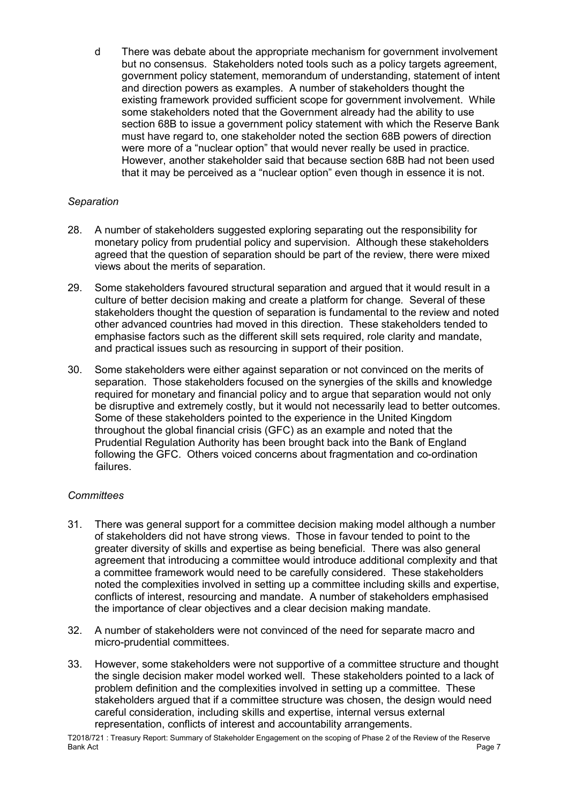d There was debate about the appropriate mechanism for government involvement but no consensus. Stakeholders noted tools such as a policy targets agreement, government policy statement, memorandum of understanding, statement of intent and direction powers as examples. A number of stakeholders thought the existing framework provided sufficient scope for government involvement. While some stakeholders noted that the Government already had the ability to use section 68B to issue a government policy statement with which the Reserve Bank must have regard to, one stakeholder noted the section 68B powers of direction were more of a "nuclear option" that would never really be used in practice. However, another stakeholder said that because section 68B had not been used that it may be perceived as a "nuclear option" even though in essence it is not.

#### *Separation*

- 28. A number of stakeholders suggested exploring separating out the responsibility for monetary policy from prudential policy and supervision. Although these stakeholders agreed that the question of separation should be part of the review, there were mixed views about the merits of separation.
- 29. Some stakeholders favoured structural separation and argued that it would result in a culture of better decision making and create a platform for change. Several of these stakeholders thought the question of separation is fundamental to the review and noted other advanced countries had moved in this direction. These stakeholders tended to emphasise factors such as the different skill sets required, role clarity and mandate, and practical issues such as resourcing in support of their position.
- 30. Some stakeholders were either against separation or not convinced on the merits of separation. Those stakeholders focused on the synergies of the skills and knowledge required for monetary and financial policy and to argue that separation would not only be disruptive and extremely costly, but it would not necessarily lead to better outcomes. Some of these stakeholders pointed to the experience in the United Kingdom throughout the global financial crisis (GFC) as an example and noted that the Prudential Regulation Authority has been brought back into the Bank of England following the GFC. Others voiced concerns about fragmentation and co-ordination failures.

## *Committees*

- 31. There was general support for a committee decision making model although a number of stakeholders did not have strong views. Those in favour tended to point to the greater diversity of skills and expertise as being beneficial. There was also general agreement that introducing a committee would introduce additional complexity and that a committee framework would need to be carefully considered. These stakeholders noted the complexities involved in setting up a committee including skills and expertise, conflicts of interest, resourcing and mandate. A number of stakeholders emphasised the importance of clear objectives and a clear decision making mandate.
- 32. A number of stakeholders were not convinced of the need for separate macro and micro-prudential committees.
- 33. However, some stakeholders were not supportive of a committee structure and thought the single decision maker model worked well. These stakeholders pointed to a lack of problem definition and the complexities involved in setting up a committee. These stakeholders argued that if a committee structure was chosen, the design would need careful consideration, including skills and expertise, internal versus external representation, conflicts of interest and accountability arrangements.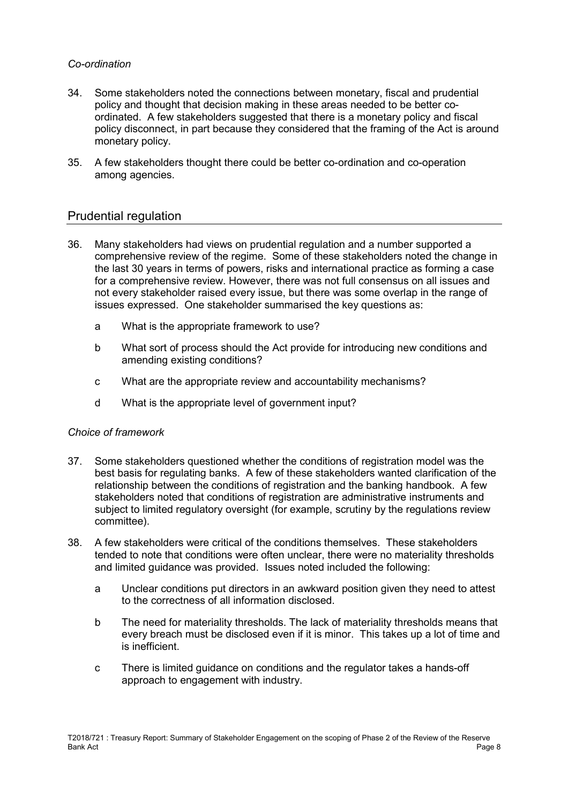#### *Co-ordination*

- 34. Some stakeholders noted the connections between monetary, fiscal and prudential policy and thought that decision making in these areas needed to be better coordinated. A few stakeholders suggested that there is a monetary policy and fiscal policy disconnect, in part because they considered that the framing of the Act is around monetary policy.
- 35. A few stakeholders thought there could be better co-ordination and co-operation among agencies.

## Prudential regulation

- 36. Many stakeholders had views on prudential regulation and a number supported a comprehensive review of the regime. Some of these stakeholders noted the change in the last 30 years in terms of powers, risks and international practice as forming a case for a comprehensive review. However, there was not full consensus on all issues and not every stakeholder raised every issue, but there was some overlap in the range of issues expressed. One stakeholder summarised the key questions as:
	- a What is the appropriate framework to use?
	- b What sort of process should the Act provide for introducing new conditions and amending existing conditions?
	- c What are the appropriate review and accountability mechanisms?
	- d What is the appropriate level of government input?

#### *Choice of framework*

- 37. Some stakeholders questioned whether the conditions of registration model was the best basis for regulating banks. A few of these stakeholders wanted clarification of the relationship between the conditions of registration and the banking handbook. A few stakeholders noted that conditions of registration are administrative instruments and subject to limited regulatory oversight (for example, scrutiny by the regulations review committee).
- 38. A few stakeholders were critical of the conditions themselves. These stakeholders tended to note that conditions were often unclear, there were no materiality thresholds and limited guidance was provided. Issues noted included the following:
	- a Unclear conditions put directors in an awkward position given they need to attest to the correctness of all information disclosed.
	- b The need for materiality thresholds. The lack of materiality thresholds means that every breach must be disclosed even if it is minor. This takes up a lot of time and is inefficient.
	- c There is limited guidance on conditions and the regulator takes a hands-off approach to engagement with industry.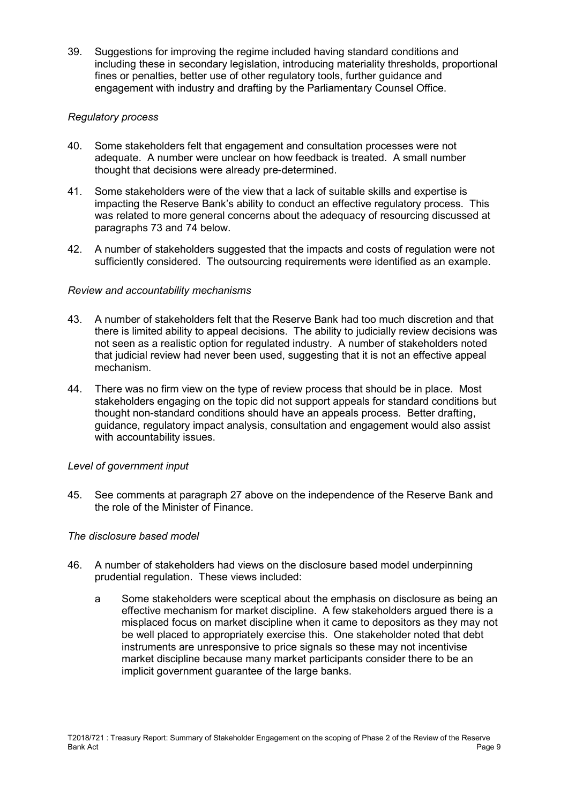39. Suggestions for improving the regime included having standard conditions and including these in secondary legislation, introducing materiality thresholds, proportional fines or penalties, better use of other regulatory tools, further guidance and engagement with industry and drafting by the Parliamentary Counsel Office.

#### *Regulatory process*

- 40. Some stakeholders felt that engagement and consultation processes were not adequate. A number were unclear on how feedback is treated. A small number thought that decisions were already pre-determined.
- 41. Some stakeholders were of the view that a lack of suitable skills and expertise is impacting the Reserve Bank's ability to conduct an effective regulatory process. This was related to more general concerns about the adequacy of resourcing discussed at paragraphs 73 and 74 below.
- 42. A number of stakeholders suggested that the impacts and costs of regulation were not sufficiently considered. The outsourcing requirements were identified as an example.

#### *Review and accountability mechanisms*

- 43. A number of stakeholders felt that the Reserve Bank had too much discretion and that there is limited ability to appeal decisions. The ability to judicially review decisions was not seen as a realistic option for regulated industry. A number of stakeholders noted that judicial review had never been used, suggesting that it is not an effective appeal mechanism.
- 44. There was no firm view on the type of review process that should be in place. Most stakeholders engaging on the topic did not support appeals for standard conditions but thought non-standard conditions should have an appeals process. Better drafting, guidance, regulatory impact analysis, consultation and engagement would also assist with accountability issues.

#### *Level of government input*

45. See comments at paragraph 27 above on the independence of the Reserve Bank and the role of the Minister of Finance.

#### *The disclosure based model*

- 46. A number of stakeholders had views on the disclosure based model underpinning prudential regulation. These views included:
	- a Some stakeholders were sceptical about the emphasis on disclosure as being an effective mechanism for market discipline. A few stakeholders argued there is a misplaced focus on market discipline when it came to depositors as they may not be well placed to appropriately exercise this. One stakeholder noted that debt instruments are unresponsive to price signals so these may not incentivise market discipline because many market participants consider there to be an implicit government guarantee of the large banks.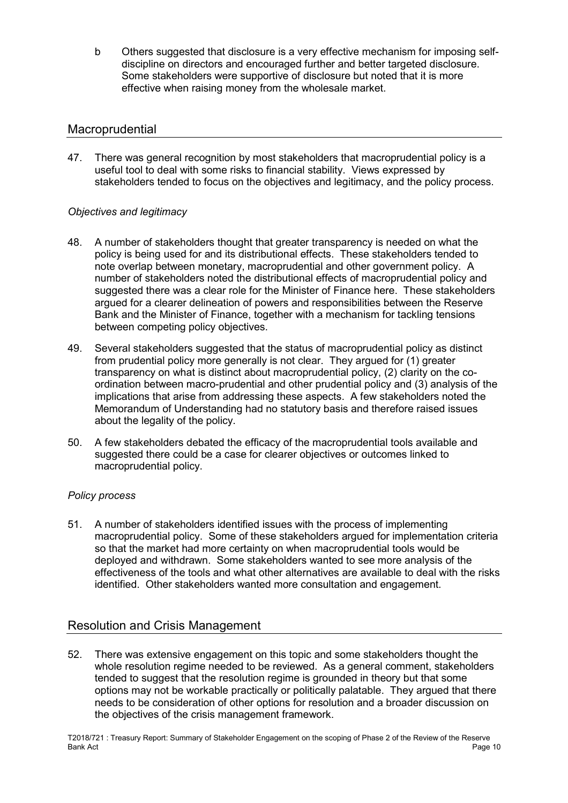b Others suggested that disclosure is a very effective mechanism for imposing selfdiscipline on directors and encouraged further and better targeted disclosure. Some stakeholders were supportive of disclosure but noted that it is more effective when raising money from the wholesale market.

## **Macroprudential**

47. There was general recognition by most stakeholders that macroprudential policy is a useful tool to deal with some risks to financial stability. Views expressed by stakeholders tended to focus on the objectives and legitimacy, and the policy process.

## *Objectives and legitimacy*

- 48. A number of stakeholders thought that greater transparency is needed on what the policy is being used for and its distributional effects. These stakeholders tended to note overlap between monetary, macroprudential and other government policy. A number of stakeholders noted the distributional effects of macroprudential policy and suggested there was a clear role for the Minister of Finance here. These stakeholders argued for a clearer delineation of powers and responsibilities between the Reserve Bank and the Minister of Finance, together with a mechanism for tackling tensions between competing policy objectives.
- 49. Several stakeholders suggested that the status of macroprudential policy as distinct from prudential policy more generally is not clear. They argued for (1) greater transparency on what is distinct about macroprudential policy, (2) clarity on the coordination between macro-prudential and other prudential policy and (3) analysis of the implications that arise from addressing these aspects. A few stakeholders noted the Memorandum of Understanding had no statutory basis and therefore raised issues about the legality of the policy.
- 50. A few stakeholders debated the efficacy of the macroprudential tools available and suggested there could be a case for clearer objectives or outcomes linked to macroprudential policy.

#### *Policy process*

51. A number of stakeholders identified issues with the process of implementing macroprudential policy. Some of these stakeholders argued for implementation criteria so that the market had more certainty on when macroprudential tools would be deployed and withdrawn. Some stakeholders wanted to see more analysis of the effectiveness of the tools and what other alternatives are available to deal with the risks identified. Other stakeholders wanted more consultation and engagement.

## Resolution and Crisis Management

52. There was extensive engagement on this topic and some stakeholders thought the whole resolution regime needed to be reviewed. As a general comment, stakeholders tended to suggest that the resolution regime is grounded in theory but that some options may not be workable practically or politically palatable. They argued that there needs to be consideration of other options for resolution and a broader discussion on the objectives of the crisis management framework.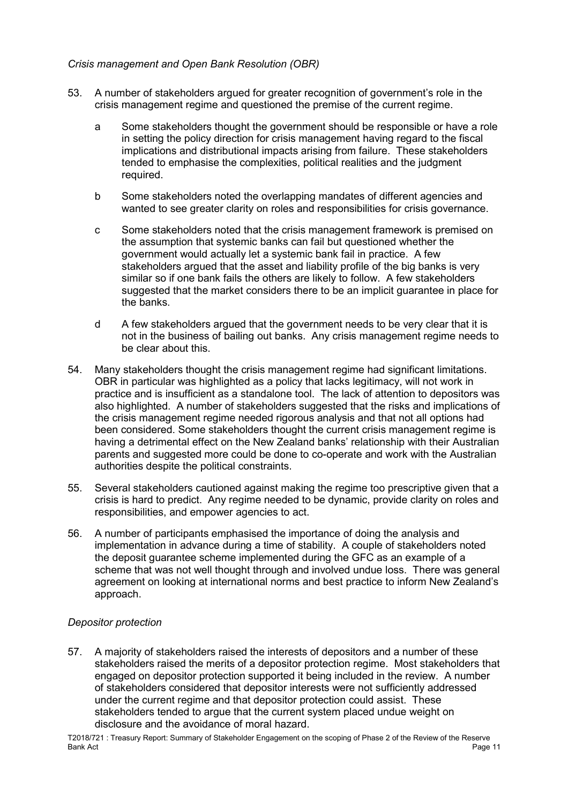#### *Crisis management and Open Bank Resolution (OBR)*

- 53. A number of stakeholders argued for greater recognition of government's role in the crisis management regime and questioned the premise of the current regime.
	- a Some stakeholders thought the government should be responsible or have a role in setting the policy direction for crisis management having regard to the fiscal implications and distributional impacts arising from failure. These stakeholders tended to emphasise the complexities, political realities and the judgment required.
	- b Some stakeholders noted the overlapping mandates of different agencies and wanted to see greater clarity on roles and responsibilities for crisis governance.
	- c Some stakeholders noted that the crisis management framework is premised on the assumption that systemic banks can fail but questioned whether the government would actually let a systemic bank fail in practice. A few stakeholders argued that the asset and liability profile of the big banks is very similar so if one bank fails the others are likely to follow. A few stakeholders suggested that the market considers there to be an implicit guarantee in place for the banks.
	- d A few stakeholders argued that the government needs to be very clear that it is not in the business of bailing out banks. Any crisis management regime needs to be clear about this.
- 54. Many stakeholders thought the crisis management regime had significant limitations. OBR in particular was highlighted as a policy that lacks legitimacy, will not work in practice and is insufficient as a standalone tool. The lack of attention to depositors was also highlighted. A number of stakeholders suggested that the risks and implications of the crisis management regime needed rigorous analysis and that not all options had been considered. Some stakeholders thought the current crisis management regime is having a detrimental effect on the New Zealand banks' relationship with their Australian parents and suggested more could be done to co-operate and work with the Australian authorities despite the political constraints.
- 55. Several stakeholders cautioned against making the regime too prescriptive given that a crisis is hard to predict. Any regime needed to be dynamic, provide clarity on roles and responsibilities, and empower agencies to act.
- 56. A number of participants emphasised the importance of doing the analysis and implementation in advance during a time of stability. A couple of stakeholders noted the deposit guarantee scheme implemented during the GFC as an example of a scheme that was not well thought through and involved undue loss. There was general agreement on looking at international norms and best practice to inform New Zealand's approach.

#### *Depositor protection*

57. A majority of stakeholders raised the interests of depositors and a number of these stakeholders raised the merits of a depositor protection regime. Most stakeholders that engaged on depositor protection supported it being included in the review. A number of stakeholders considered that depositor interests were not sufficiently addressed under the current regime and that depositor protection could assist. These stakeholders tended to argue that the current system placed undue weight on disclosure and the avoidance of moral hazard.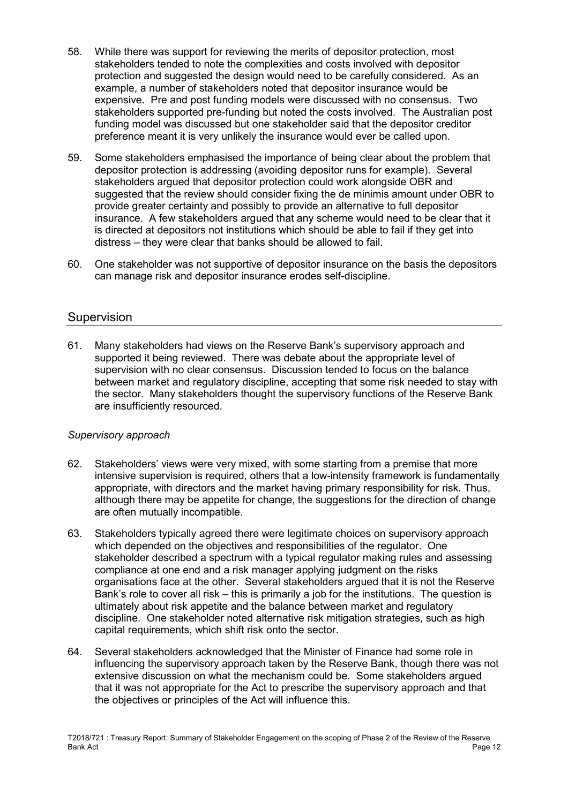- 58. While there was support for reviewing the merits of depositor protection, most stakeholders tended to note the complexities and costs involved with depositor protection and suggested the design would need to be carefully considered. As an example, a number of stakeholders noted that depositor insurance would be expensive. Pre and post funding models were discussed with no consensus. Two stakeholders supported pre-funding but noted the costs involved. The Australian post funding model was discussed but one stakeholder said that the depositor creditor preference meant it is very unlikely the insurance would ever be called upon.
- 59. Some stakeholders emphasised the importance of being clear about the problem that depositor protection is addressing (avoiding depositor runs for example). Several stakeholders argued that depositor protection could work alongside OBR and suggested that the review should consider fixing the de minimis amount under OBR to provide greater certainty and possibly to provide an alternative to full depositor insurance. A few stakeholders argued that any scheme would need to be clear that it is directed at depositors not institutions which should be able to fail if they get into distress – they were clear that banks should be allowed to fail.
- 60. One stakeholder was not supportive of depositor insurance on the basis the depositors can manage risk and depositor insurance erodes self-discipline.

## Supervision

61. Many stakeholders had views on the Reserve Bank's supervisory approach and supported it being reviewed. There was debate about the appropriate level of supervision with no clear consensus. Discussion tended to focus on the balance between market and regulatory discipline, accepting that some risk needed to stay with the sector. Many stakeholders thought the supervisory functions of the Reserve Bank are insufficiently resourced.

#### *Supervisory approach*

- 62. Stakeholders' views were very mixed, with some starting from a premise that more intensive supervision is required, others that a low-intensity framework is fundamentally appropriate, with directors and the market having primary responsibility for risk. Thus, although there may be appetite for change, the suggestions for the direction of change are often mutually incompatible.
- 63. Stakeholders typically agreed there were legitimate choices on supervisory approach which depended on the objectives and responsibilities of the regulator. One stakeholder described a spectrum with a typical regulator making rules and assessing compliance at one end and a risk manager applying judgment on the risks organisations face at the other. Several stakeholders argued that it is not the Reserve Bank's role to cover all risk – this is primarily a job for the institutions. The question is ultimately about risk appetite and the balance between market and regulatory discipline. One stakeholder noted alternative risk mitigation strategies, such as high capital requirements, which shift risk onto the sector.
- 64. Several stakeholders acknowledged that the Minister of Finance had some role in influencing the supervisory approach taken by the Reserve Bank, though there was not extensive discussion on what the mechanism could be. Some stakeholders argued that it was not appropriate for the Act to prescribe the supervisory approach and that the objectives or principles of the Act will influence this.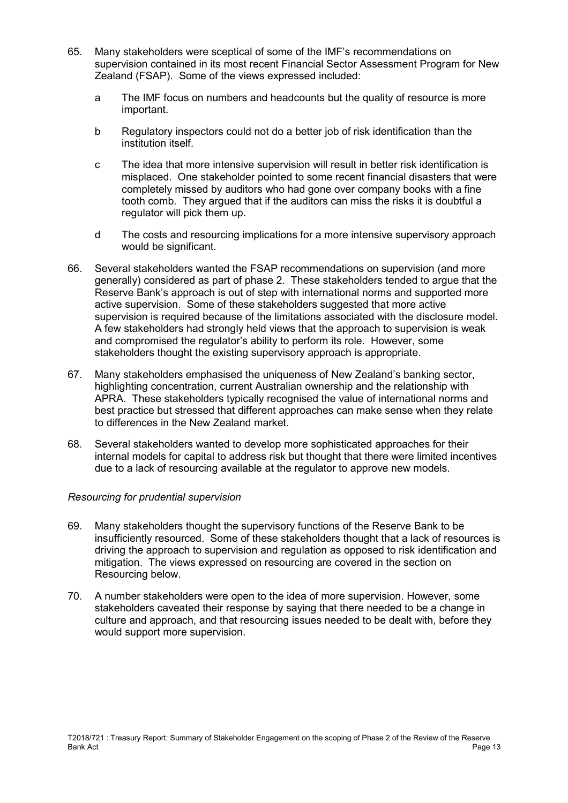- 65. Many stakeholders were sceptical of some of the IMF's recommendations on supervision contained in its most recent Financial Sector Assessment Program for New Zealand (FSAP). Some of the views expressed included:
	- a The IMF focus on numbers and headcounts but the quality of resource is more important.
	- b Regulatory inspectors could not do a better job of risk identification than the institution itself.
	- c The idea that more intensive supervision will result in better risk identification is misplaced. One stakeholder pointed to some recent financial disasters that were completely missed by auditors who had gone over company books with a fine tooth comb. They argued that if the auditors can miss the risks it is doubtful a regulator will pick them up.
	- d The costs and resourcing implications for a more intensive supervisory approach would be significant.
- 66. Several stakeholders wanted the FSAP recommendations on supervision (and more generally) considered as part of phase 2. These stakeholders tended to argue that the Reserve Bank's approach is out of step with international norms and supported more active supervision. Some of these stakeholders suggested that more active supervision is required because of the limitations associated with the disclosure model. A few stakeholders had strongly held views that the approach to supervision is weak and compromised the regulator's ability to perform its role. However, some stakeholders thought the existing supervisory approach is appropriate.
- 67. Many stakeholders emphasised the uniqueness of New Zealand's banking sector, highlighting concentration, current Australian ownership and the relationship with APRA. These stakeholders typically recognised the value of international norms and best practice but stressed that different approaches can make sense when they relate to differences in the New Zealand market.
- 68. Several stakeholders wanted to develop more sophisticated approaches for their internal models for capital to address risk but thought that there were limited incentives due to a lack of resourcing available at the regulator to approve new models.

#### *Resourcing for prudential supervision*

- 69. Many stakeholders thought the supervisory functions of the Reserve Bank to be insufficiently resourced. Some of these stakeholders thought that a lack of resources is driving the approach to supervision and regulation as opposed to risk identification and mitigation. The views expressed on resourcing are covered in the section on Resourcing below.
- 70. A number stakeholders were open to the idea of more supervision. However, some stakeholders caveated their response by saying that there needed to be a change in culture and approach, and that resourcing issues needed to be dealt with, before they would support more supervision.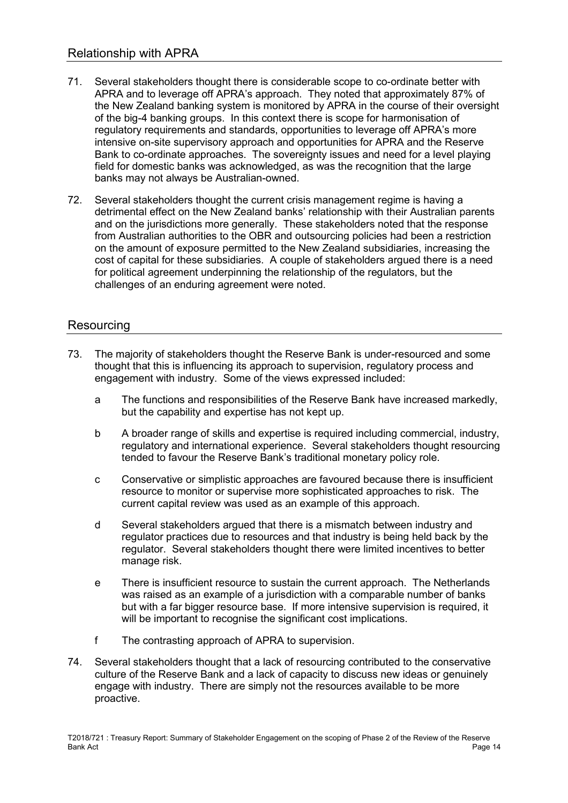- 71. Several stakeholders thought there is considerable scope to co-ordinate better with APRA and to leverage off APRA's approach. They noted that approximately 87% of the New Zealand banking system is monitored by APRA in the course of their oversight of the big-4 banking groups. In this context there is scope for harmonisation of regulatory requirements and standards, opportunities to leverage off APRA's more intensive on-site supervisory approach and opportunities for APRA and the Reserve Bank to co-ordinate approaches. The sovereignty issues and need for a level playing field for domestic banks was acknowledged, as was the recognition that the large banks may not always be Australian-owned.
- 72. Several stakeholders thought the current crisis management regime is having a detrimental effect on the New Zealand banks' relationship with their Australian parents and on the jurisdictions more generally. These stakeholders noted that the response from Australian authorities to the OBR and outsourcing policies had been a restriction on the amount of exposure permitted to the New Zealand subsidiaries, increasing the cost of capital for these subsidiaries. A couple of stakeholders argued there is a need for political agreement underpinning the relationship of the regulators, but the challenges of an enduring agreement were noted.

## Resourcing

- 73. The majority of stakeholders thought the Reserve Bank is under-resourced and some thought that this is influencing its approach to supervision, regulatory process and engagement with industry. Some of the views expressed included:
	- a The functions and responsibilities of the Reserve Bank have increased markedly, but the capability and expertise has not kept up.
	- b A broader range of skills and expertise is required including commercial, industry, regulatory and international experience. Several stakeholders thought resourcing tended to favour the Reserve Bank's traditional monetary policy role.
	- c Conservative or simplistic approaches are favoured because there is insufficient resource to monitor or supervise more sophisticated approaches to risk. The current capital review was used as an example of this approach.
	- d Several stakeholders argued that there is a mismatch between industry and regulator practices due to resources and that industry is being held back by the regulator. Several stakeholders thought there were limited incentives to better manage risk.
	- e There is insufficient resource to sustain the current approach. The Netherlands was raised as an example of a jurisdiction with a comparable number of banks but with a far bigger resource base. If more intensive supervision is required, it will be important to recognise the significant cost implications.
	- f The contrasting approach of APRA to supervision.
- 74. Several stakeholders thought that a lack of resourcing contributed to the conservative culture of the Reserve Bank and a lack of capacity to discuss new ideas or genuinely engage with industry. There are simply not the resources available to be more proactive.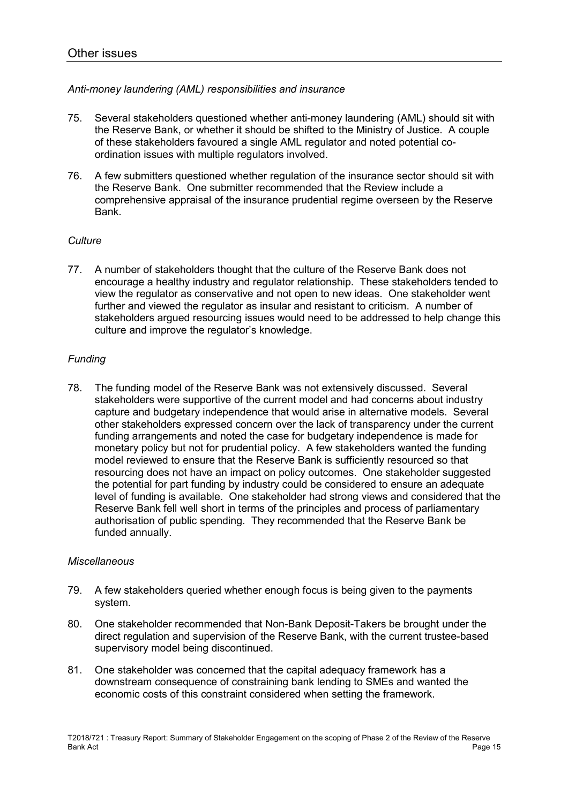#### *Anti-money laundering (AML) responsibilities and insurance*

- 75. Several stakeholders questioned whether anti-money laundering (AML) should sit with the Reserve Bank, or whether it should be shifted to the Ministry of Justice. A couple of these stakeholders favoured a single AML regulator and noted potential coordination issues with multiple regulators involved.
- 76. A few submitters questioned whether regulation of the insurance sector should sit with the Reserve Bank. One submitter recommended that the Review include a comprehensive appraisal of the insurance prudential regime overseen by the Reserve Bank.

#### *Culture*

77. A number of stakeholders thought that the culture of the Reserve Bank does not encourage a healthy industry and regulator relationship. These stakeholders tended to view the regulator as conservative and not open to new ideas. One stakeholder went further and viewed the regulator as insular and resistant to criticism. A number of stakeholders argued resourcing issues would need to be addressed to help change this culture and improve the regulator's knowledge.

## *Funding*

78. The funding model of the Reserve Bank was not extensively discussed. Several stakeholders were supportive of the current model and had concerns about industry capture and budgetary independence that would arise in alternative models. Several other stakeholders expressed concern over the lack of transparency under the current funding arrangements and noted the case for budgetary independence is made for monetary policy but not for prudential policy. A few stakeholders wanted the funding model reviewed to ensure that the Reserve Bank is sufficiently resourced so that resourcing does not have an impact on policy outcomes. One stakeholder suggested the potential for part funding by industry could be considered to ensure an adequate level of funding is available. One stakeholder had strong views and considered that the Reserve Bank fell well short in terms of the principles and process of parliamentary authorisation of public spending. They recommended that the Reserve Bank be funded annually.

#### *Miscellaneous*

- 79. A few stakeholders queried whether enough focus is being given to the payments system.
- 80. One stakeholder recommended that Non-Bank Deposit-Takers be brought under the direct regulation and supervision of the Reserve Bank, with the current trustee-based supervisory model being discontinued.
- 81. One stakeholder was concerned that the capital adequacy framework has a downstream consequence of constraining bank lending to SMEs and wanted the economic costs of this constraint considered when setting the framework.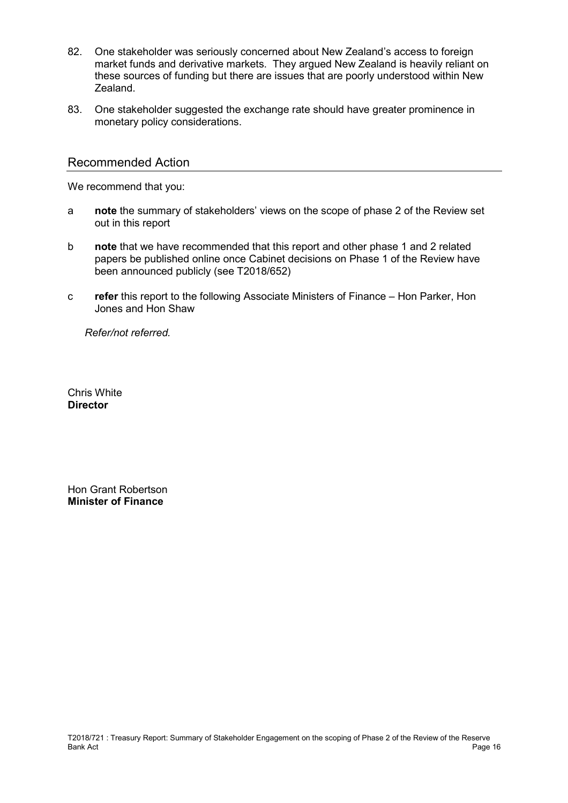- 82. One stakeholder was seriously concerned about New Zealand's access to foreign market funds and derivative markets. They argued New Zealand is heavily reliant on these sources of funding but there are issues that are poorly understood within New Zealand.
- 83. One stakeholder suggested the exchange rate should have greater prominence in monetary policy considerations.

#### Recommended Action

We recommend that you:

- a **note** the summary of stakeholders' views on the scope of phase 2 of the Review set out in this report
- b **note** that we have recommended that this report and other phase 1 and 2 related papers be published online once Cabinet decisions on Phase 1 of the Review have been announced publicly (see T2018/652)
- c **refer** this report to the following Associate Ministers of Finance Hon Parker, Hon Jones and Hon Shaw

 *Refer/not referred.* 

Chris White **Director** 

Hon Grant Robertson **Minister of Finance**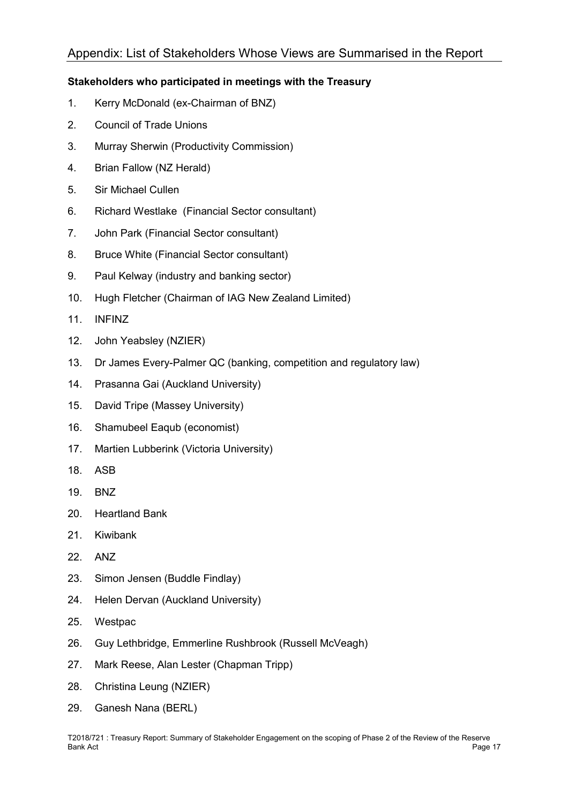# Appendix: List of Stakeholders Whose Views are Summarised in the Report

## **Stakeholders who participated in meetings with the Treasury**

- 1. Kerry McDonald (ex-Chairman of BNZ)
- 2. Council of Trade Unions
- 3. Murray Sherwin (Productivity Commission)
- 4. Brian Fallow (NZ Herald)
- 5. Sir Michael Cullen
- 6. Richard Westlake (Financial Sector consultant)
- 7. John Park (Financial Sector consultant)
- 8. Bruce White (Financial Sector consultant)
- 9. Paul Kelway (industry and banking sector)
- 10. Hugh Fletcher (Chairman of IAG New Zealand Limited)
- 11. INFINZ
- 12. John Yeabsley (NZIER)
- 13. Dr James Every-Palmer QC (banking, competition and regulatory law)
- 14. Prasanna Gai (Auckland University)
- 15. David Tripe (Massey University)
- 16. Shamubeel Eaqub (economist)
- 17. Martien Lubberink (Victoria University)
- 18. ASB
- 19. BNZ
- 20. Heartland Bank
- 21. Kiwibank
- 22. ANZ
- 23. Simon Jensen (Buddle Findlay)
- 24. Helen Dervan (Auckland University)
- 25. Westpac
- 26. Guy Lethbridge, Emmerline Rushbrook (Russell McVeagh)
- 27. Mark Reese, Alan Lester (Chapman Tripp)
- 28. Christina Leung (NZIER)
- 29. Ganesh Nana (BERL)